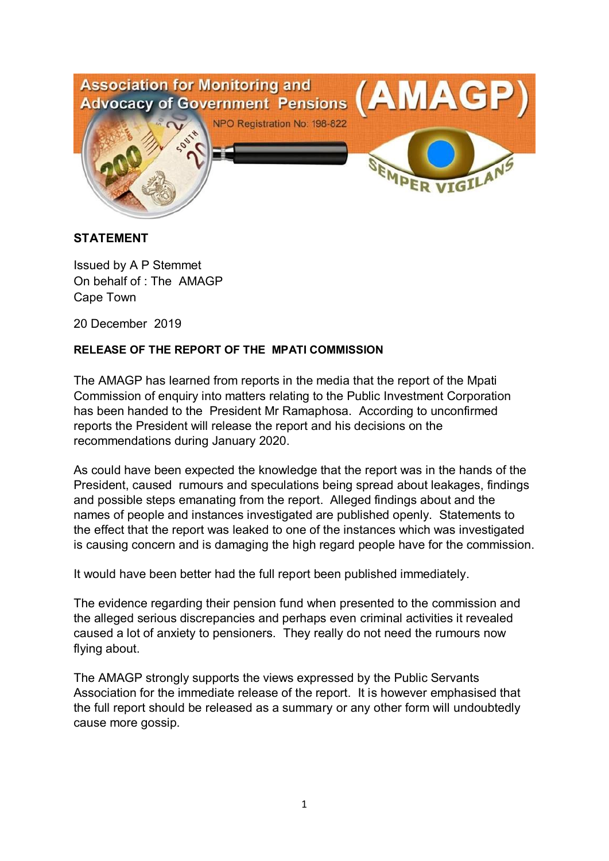

## **STATEMENT**

Issued by A P Stemmet On behalf of : The AMAGP Cape Town

20 December 2019

## **RELEASE OF THE REPORT OF THE MPATI COMMISSION**

The AMAGP has learned from reports in the media that the report of the Mpati Commission of enquiry into matters relating to the Public Investment Corporation has been handed to the President Mr Ramaphosa. According to unconfirmed reports the President will release the report and his decisions on the recommendations during January 2020.

As could have been expected the knowledge that the report was in the hands of the President, caused rumours and speculations being spread about leakages, findings and possible steps emanating from the report. Alleged findings about and the names of people and instances investigated are published openly. Statements to the effect that the report was leaked to one of the instances which was investigated is causing concern and is damaging the high regard people have for the commission.

It would have been better had the full report been published immediately.

The evidence regarding their pension fund when presented to the commission and the alleged serious discrepancies and perhaps even criminal activities it revealed caused a lot of anxiety to pensioners. They really do not need the rumours now flying about.

The AMAGP strongly supports the views expressed by the Public Servants Association for the immediate release of the report. It is however emphasised that the full report should be released as a summary or any other form will undoubtedly cause more gossip.